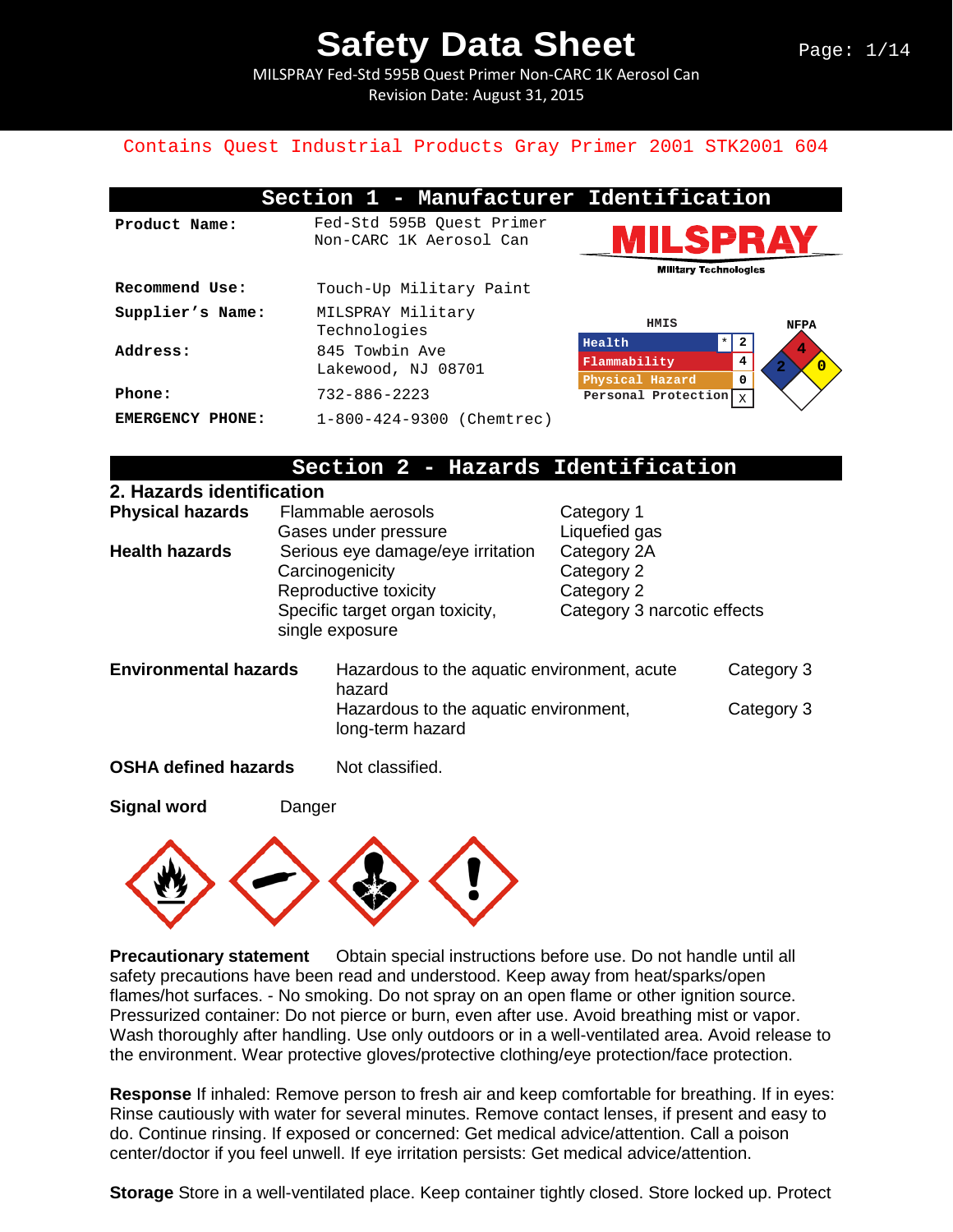MILSPRAY Fed-Std 595B Quest Primer Non-CARC 1K Aerosol Can Revision Date: August 31, 2015

#### Contains Quest Industrial Products Gray Primer 2001 STK2001 604

|                  | Section 1 - Manufacturer Identification              |                                                  |                |
|------------------|------------------------------------------------------|--------------------------------------------------|----------------|
| Product Name:    | Fed-Std 595B Ouest Primer<br>Non-CARC 1K Aerosol Can | ILSPRAY                                          |                |
|                  |                                                      | <b>Military Technologies</b>                     |                |
| Recommend Use:   | Touch-Up Military Paint                              |                                                  |                |
| Supplier's Name: | MILSPRAY Military<br>Technologies                    | HMIS                                             | <b>NFPA</b>    |
| Address:         | 845 Towbin Ave                                       | $\star$<br>Health                                | 4              |
|                  | Lakewood, NJ 08701                                   | Flammability<br>4                                | $\overline{0}$ |
| Phone:           | $732 - 886 - 2223$                                   | 0<br>Physical Hazard<br>Personal Protection<br>X |                |
| EMERGENCY PHONE: | 1-800-424-9300 (Chemtrec)                            |                                                  |                |

#### **Section 2 - Hazards Identification**

| 2. Hazards identification    |                 |                                                           |                                         |            |
|------------------------------|-----------------|-----------------------------------------------------------|-----------------------------------------|------------|
| <b>Physical hazards</b>      |                 | Flammable aerosols                                        | Category 1                              |            |
|                              |                 | Gases under pressure                                      | Liquefied gas                           |            |
| <b>Health hazards</b>        |                 | Serious eye damage/eye irritation                         | Category 2A<br>Category 2<br>Category 2 |            |
|                              |                 | Carcinogenicity                                           |                                         |            |
|                              |                 | Reproductive toxicity                                     |                                         |            |
|                              |                 | Specific target organ toxicity,                           | Category 3 narcotic effects             |            |
| single exposure              |                 |                                                           |                                         |            |
| <b>Environmental hazards</b> |                 | Hazardous to the aquatic environment, acute<br>hazard     |                                         | Category 3 |
|                              |                 | Hazardous to the aquatic environment,<br>long-term hazard |                                         | Category 3 |
| <b>OSHA defined hazards</b>  | Not classified. |                                                           |                                         |            |

**Signal word Danger** 



**Precautionary statement** Obtain special instructions before use. Do not handle until all safety precautions have been read and understood. Keep away from heat/sparks/open flames/hot surfaces. - No smoking. Do not spray on an open flame or other ignition source. Pressurized container: Do not pierce or burn, even after use. Avoid breathing mist or vapor. Wash thoroughly after handling. Use only outdoors or in a well-ventilated area. Avoid release to the environment. Wear protective gloves/protective clothing/eye protection/face protection.

**Response** If inhaled: Remove person to fresh air and keep comfortable for breathing. If in eyes: Rinse cautiously with water for several minutes. Remove contact lenses, if present and easy to do. Continue rinsing. If exposed or concerned: Get medical advice/attention. Call a poison center/doctor if you feel unwell. If eye irritation persists: Get medical advice/attention.

**Storage** Store in a well-ventilated place. Keep container tightly closed. Store locked up. Protect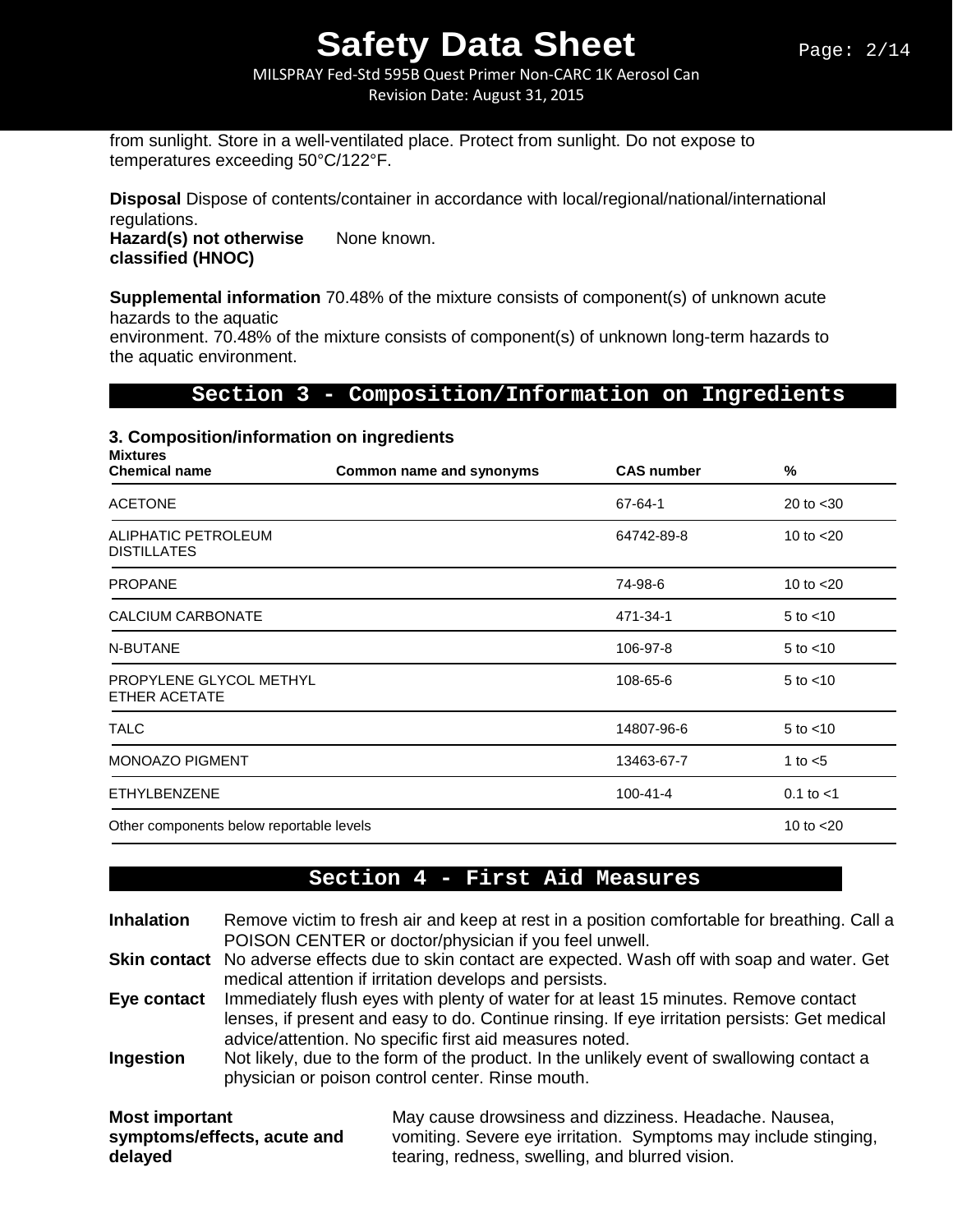MILSPRAY Fed-Std 595B Quest Primer Non-CARC 1K Aerosol Can Revision Date: August 31, 2015

from sunlight. Store in a well-ventilated place. Protect from sunlight. Do not expose to temperatures exceeding 50°C/122°F.

**Disposal** Dispose of contents/container in accordance with local/regional/national/international regulations.

Hazard(s) not otherwise None known. **classified (HNOC)** 

**Supplemental information** 70.48% of the mixture consists of component(s) of unknown acute hazards to the aquatic

environment. 70.48% of the mixture consists of component(s) of unknown long-term hazards to the aquatic environment.

#### **Section 3 - Composition/Information on Ingredients**

#### **3. Composition/information on ingredients**

| <b>Mixtures</b><br><b>Chemical name</b>   | Common name and synonyms | <b>CAS number</b> | %              |
|-------------------------------------------|--------------------------|-------------------|----------------|
| <b>ACETONE</b>                            |                          | 67-64-1           | 20 to $<$ 30   |
| ALIPHATIC PETROLEUM<br><b>DISTILLATES</b> |                          | 64742-89-8        | 10 to $<$ 20   |
| <b>PROPANE</b>                            |                          | 74-98-6           | 10 to $<$ 20   |
| <b>CALCIUM CARBONATE</b>                  |                          | 471-34-1          | $5$ to $<$ 10  |
| N-BUTANE                                  |                          | 106-97-8          | $5$ to $<$ 10  |
| PROPYLENE GLYCOL METHYL<br>ETHER ACETATE  |                          | 108-65-6          | $5$ to $<$ 10  |
| <b>TALC</b>                               |                          | 14807-96-6        | $5$ to $<$ 10  |
| <b>MONOAZO PIGMENT</b>                    |                          | 13463-67-7        | 1 to $<$ 5     |
| <b>ETHYLBENZENE</b>                       |                          | $100 - 41 - 4$    | $0.1$ to $< 1$ |
| Other components below reportable levels  |                          |                   | 10 to $<$ 20   |

### **Section 4 - First Aid Measures**

**Inhalation** Remove victim to fresh air and keep at rest in a position comfortable for breathing. Call a POISON CENTER or doctor/physician if you feel unwell.

**Skin contact** No adverse effects due to skin contact are expected. Wash off with soap and water. Get medical attention if irritation develops and persists.

**Eye contact** Immediately flush eyes with plenty of water for at least 15 minutes. Remove contact lenses, if present and easy to do. Continue rinsing. If eye irritation persists: Get medical advice/attention. No specific first aid measures noted.

**Ingestion** Not likely, due to the form of the product. In the unlikely event of swallowing contact a physician or poison control center. Rinse mouth.

| Most important              | May cause drowsiness and dizziness. Headache. Nausea,           |  |  |  |
|-----------------------------|-----------------------------------------------------------------|--|--|--|
| symptoms/effects, acute and | vomiting. Severe eye irritation. Symptoms may include stinging, |  |  |  |
| delayed                     | tearing, redness, swelling, and blurred vision.                 |  |  |  |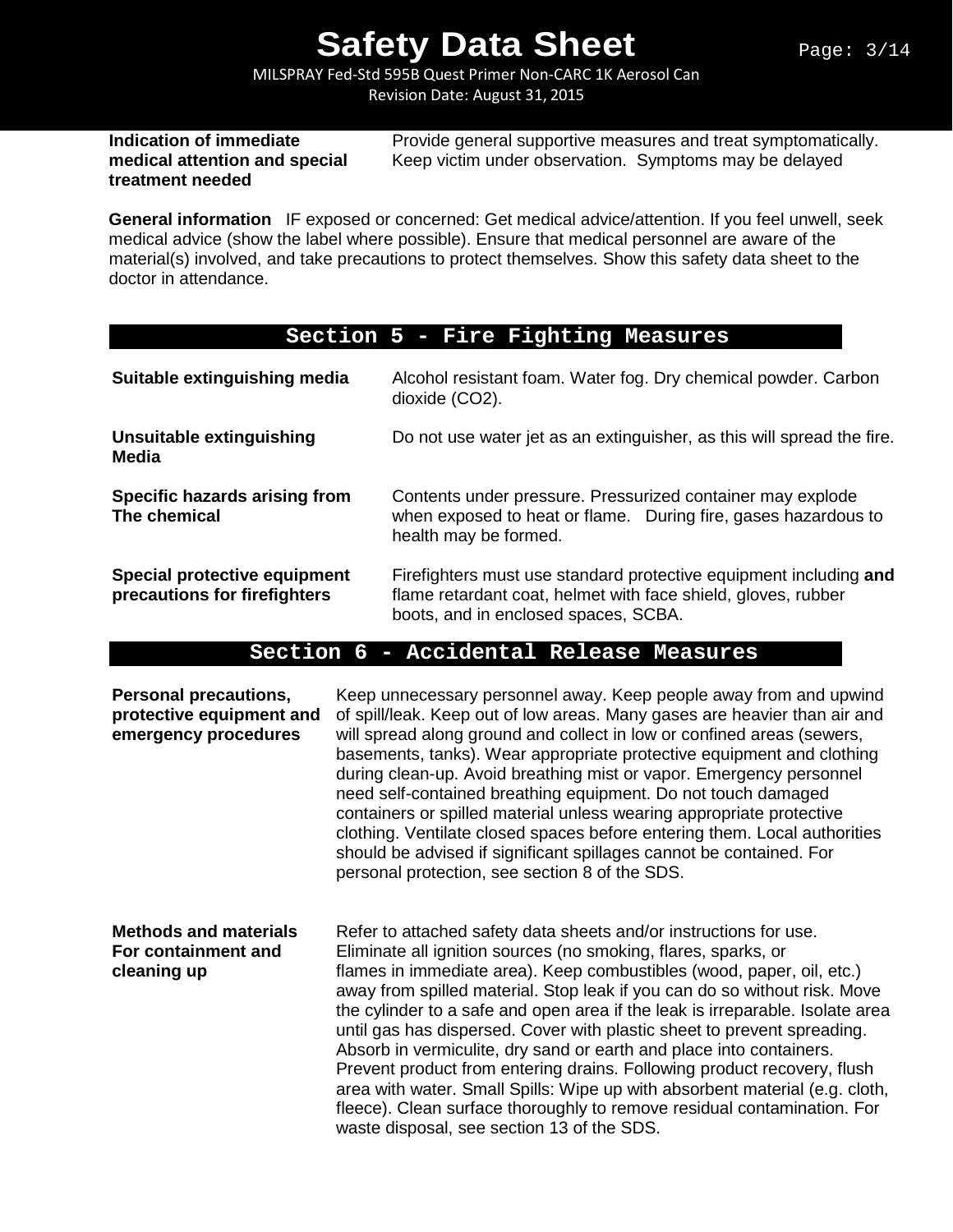MILSPRAY Fed-Std 595B Quest Primer Non-CARC 1K Aerosol Can Revision Date: August 31, 2015

# **treatment needed**

**Indication of immediate** Provide general supportive measures and treat symptomatically.<br> **Indical attention and special** Keep victim under observation. Symptoms may be delayed Keep victim under observation. Symptoms may be delayed

**General information** IF exposed or concerned: Get medical advice/attention. If you feel unwell, seek medical advice (show the label where possible). Ensure that medical personnel are aware of the material(s) involved, and take precautions to protect themselves. Show this safety data sheet to the doctor in attendance.

### **Section 5 - Fire Fighting Measures**

| Suitable extinguishing media                                 | Alcohol resistant foam. Water fog. Dry chemical powder. Carbon<br>dioxide (CO2).                                                                                           |
|--------------------------------------------------------------|----------------------------------------------------------------------------------------------------------------------------------------------------------------------------|
| <b>Unsuitable extinguishing</b><br>Media                     | Do not use water jet as an extinguisher, as this will spread the fire.                                                                                                     |
| Specific hazards arising from<br>The chemical                | Contents under pressure. Pressurized container may explode<br>when exposed to heat or flame. During fire, gases hazardous to<br>health may be formed.                      |
| Special protective equipment<br>precautions for firefighters | Firefighters must use standard protective equipment including and<br>flame retardant coat, helmet with face shield, gloves, rubber<br>boots, and in enclosed spaces, SCBA. |

### **Section 6 - Accidental Release Measures**

| <b>Personal precautions,</b><br>protective equipment and<br>emergency procedures | Keep unnecessary personnel away. Keep people away from and upwind<br>of spill/leak. Keep out of low areas. Many gases are heavier than air and<br>will spread along ground and collect in low or confined areas (sewers,<br>basements, tanks). Wear appropriate protective equipment and clothing<br>during clean-up. Avoid breathing mist or vapor. Emergency personnel<br>need self-contained breathing equipment. Do not touch damaged<br>containers or spilled material unless wearing appropriate protective<br>clothing. Ventilate closed spaces before entering them. Local authorities<br>should be advised if significant spillages cannot be contained. For<br>personal protection, see section 8 of the SDS.                                                                                         |
|----------------------------------------------------------------------------------|-----------------------------------------------------------------------------------------------------------------------------------------------------------------------------------------------------------------------------------------------------------------------------------------------------------------------------------------------------------------------------------------------------------------------------------------------------------------------------------------------------------------------------------------------------------------------------------------------------------------------------------------------------------------------------------------------------------------------------------------------------------------------------------------------------------------|
| <b>Methods and materials</b><br>For containment and<br>cleaning up               | Refer to attached safety data sheets and/or instructions for use.<br>Eliminate all ignition sources (no smoking, flares, sparks, or<br>flames in immediate area). Keep combustibles (wood, paper, oil, etc.)<br>away from spilled material. Stop leak if you can do so without risk. Move<br>the cylinder to a safe and open area if the leak is irreparable. Isolate area<br>until gas has dispersed. Cover with plastic sheet to prevent spreading.<br>Absorb in vermiculite, dry sand or earth and place into containers.<br>Prevent product from entering drains. Following product recovery, flush<br>area with water. Small Spills: Wipe up with absorbent material (e.g. cloth,<br>fleece). Clean surface thoroughly to remove residual contamination. For<br>waste disposal, see section 13 of the SDS. |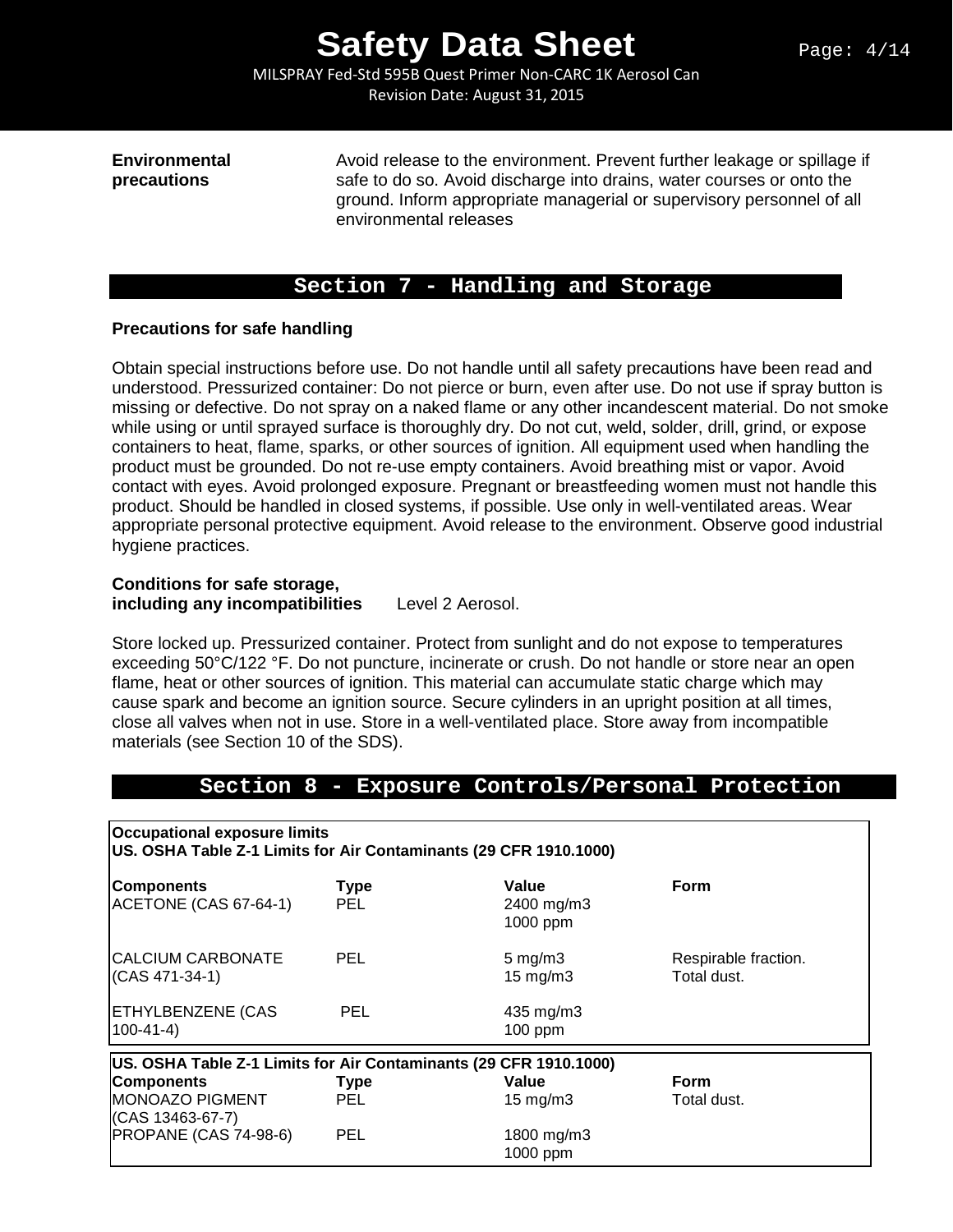MILSPRAY Fed-Std 595B Quest Primer Non-CARC 1K Aerosol Can Revision Date: August 31, 2015

**Environmental Avoid release to the environment. Prevent further leakage or spillage if precautions** safe to do so. Avoid discharge into drains, water courses or onto the safe to do so. Avoid discharge into drains, water courses or onto the ground. Inform appropriate managerial or supervisory personnel of all environmental releases

### **Section 7 - Handling and Storage**

#### **Precautions for safe handling**

Obtain special instructions before use. Do not handle until all safety precautions have been read and understood. Pressurized container: Do not pierce or burn, even after use. Do not use if spray button is missing or defective. Do not spray on a naked flame or any other incandescent material. Do not smoke while using or until sprayed surface is thoroughly dry. Do not cut, weld, solder, drill, grind, or expose containers to heat, flame, sparks, or other sources of ignition. All equipment used when handling the product must be grounded. Do not re-use empty containers. Avoid breathing mist or vapor. Avoid contact with eyes. Avoid prolonged exposure. Pregnant or breastfeeding women must not handle this product. Should be handled in closed systems, if possible. Use only in well-ventilated areas. Wear appropriate personal protective equipment. Avoid release to the environment. Observe good industrial hygiene practices.

### **Conditions for safe storage,**

**including any incompatibilities** Level 2 Aerosol.

Store locked up. Pressurized container. Protect from sunlight and do not expose to temperatures exceeding 50°C/122 °F. Do not puncture, incinerate or crush. Do not handle or store near an open flame, heat or other sources of ignition. This material can accumulate static charge which may cause spark and become an ignition source. Secure cylinders in an upright position at all times, close all valves when not in use. Store in a well-ventilated place. Store away from incompatible materials (see Section 10 of the SDS).

### **Section 8 - Exposure Controls/Personal Protection**

**Occupational exposure limits US. OSHA Table Z-1 Limits for Air Contaminants (29 CFR 1910.1000)**

| <b>Components</b><br>ACETONE (CAS 67-64-1)                        | <b>Type</b><br><b>PEL</b> | Value<br>2400 mg/m3<br>1000 ppm           | <b>Form</b>                         |
|-------------------------------------------------------------------|---------------------------|-------------------------------------------|-------------------------------------|
| CALCIUM CARBONATE<br>(CAS 471-34-1)                               | <b>PEL</b>                | $5 \text{ mg/m}$ 3<br>$15 \text{ mg/m}$ 3 | Respirable fraction.<br>Total dust. |
| <b>ETHYLBENZENE (CAS</b><br>100-41-4)                             | <b>PEL</b>                | 435 mg/m3<br>$100$ ppm                    |                                     |
| US. OSHA Table Z-1 Limits for Air Contaminants (29 CFR 1910.1000) |                           |                                           |                                     |
| <b>Components</b>                                                 | <b>Type</b>               | Value                                     | <b>Form</b>                         |
| <b>MONOAZO PIGMENT</b><br>(CAS 13463-67-7)                        | <b>PEL</b>                | $15 \text{ mg/m}$                         | Total dust.                         |
| PROPANE (CAS 74-98-6)                                             | <b>PEL</b>                | 1800 mg/m3<br>1000 ppm                    |                                     |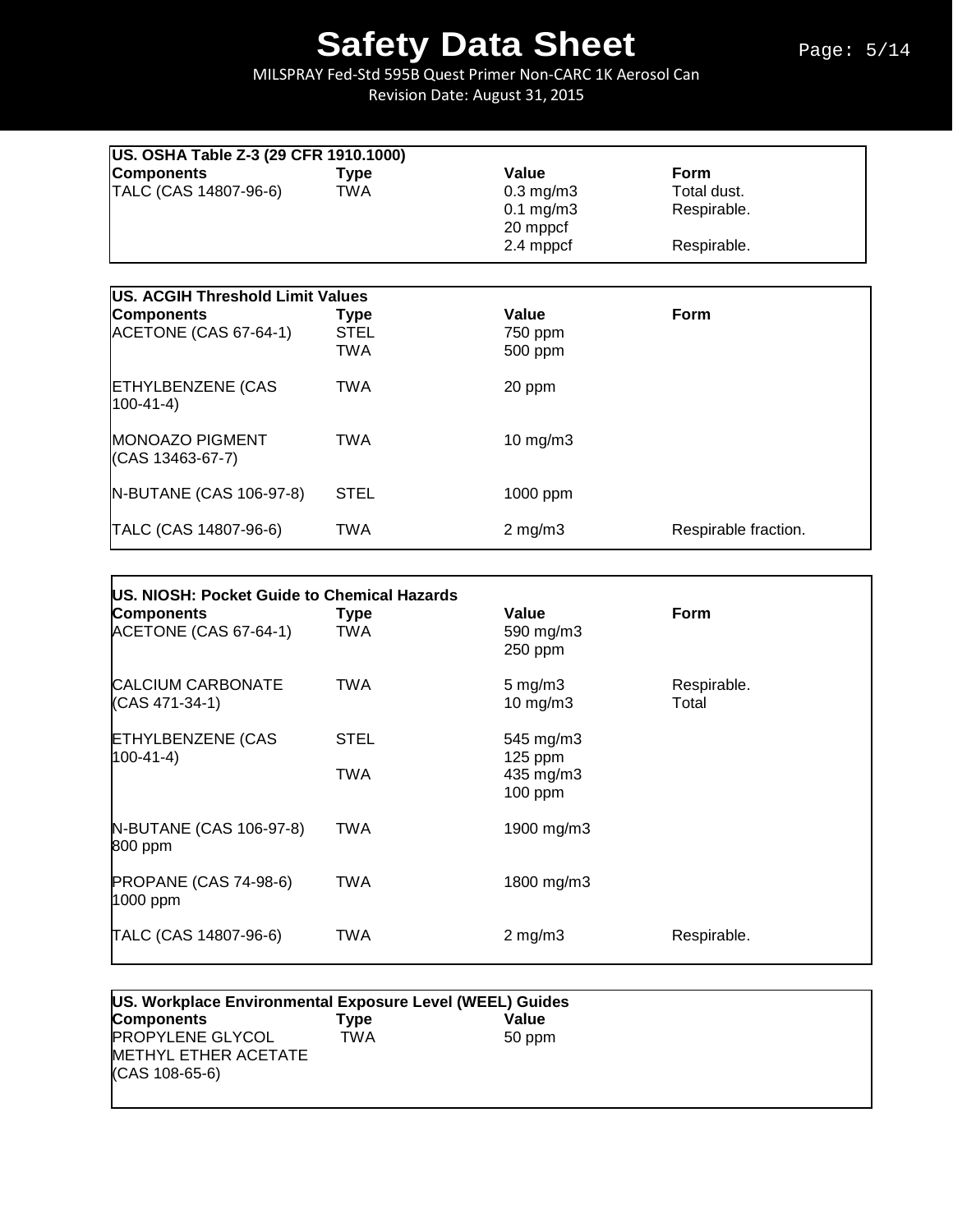MILSPRAY Fed-Std 595B Quest Primer Non-CARC 1K Aerosol Can Revision Date: August 31, 2015

|                                            | US. OSHA Table Z-3 (29 CFR 1910.1000) |                                                                    |                                                          |  |  |  |
|--------------------------------------------|---------------------------------------|--------------------------------------------------------------------|----------------------------------------------------------|--|--|--|
| <b>Components</b><br>TALC (CAS 14807-96-6) | <b>Type</b><br><b>TWA</b>             | Value<br>$0.3$ mg/m $3$<br>$0.1$ mg/m $3$<br>20 mppcf<br>2.4 mppcf | <b>Form</b><br>Total dust.<br>Respirable.<br>Respirable. |  |  |  |
| US. ACGIH Threshold Limit Values           |                                       |                                                                    |                                                          |  |  |  |
| <b>Components</b><br>ACETONE (CAS 67-64-1) | <b>Type</b><br>STEL<br>TWA            | Value<br>750 ppm<br>500 ppm                                        | <b>Form</b>                                              |  |  |  |
| <b>ETHYLBENZENE (CAS</b><br>$(100-41-4)$   | TWA                                   | 20 ppm                                                             |                                                          |  |  |  |
| <b>MONOAZO PIGMENT</b><br>(CAS 13463-67-7) | TWA                                   | $10$ mg/m $3$                                                      |                                                          |  |  |  |
| N-BUTANE (CAS 106-97-8)                    | <b>STEL</b>                           | 1000 ppm                                                           |                                                          |  |  |  |
| TALC (CAS 14807-96-6)                      | TWA                                   | $2$ mg/m $3$                                                       | Respirable fraction.                                     |  |  |  |

| US. NIOSH: Pocket Guide to Chemical Hazards<br><b>Components</b><br>ACETONE (CAS 67-64-1) | <b>Type</b><br>TWA | Value<br>590 mg/m3<br>250 ppm                  | <b>Form</b>          |
|-------------------------------------------------------------------------------------------|--------------------|------------------------------------------------|----------------------|
| <b>CALCIUM CARBONATE</b><br>(CAS 471-34-1)                                                | TWA                | $5 \text{ mg/m}$ 3<br>$10$ mg/m $3$            | Respirable.<br>Total |
| <b>ETHYLBENZENE (CAS</b><br>$100-41-4$                                                    | <b>STEL</b><br>TWA | 545 mg/m3<br>$125$ ppm<br>435 mg/m3<br>100 ppm |                      |
| N-BUTANE (CAS 106-97-8)<br>800 ppm                                                        | TWA                | 1900 mg/m3                                     |                      |
| <b>PROPANE (CAS 74-98-6)</b><br>1000 ppm                                                  | TWA                | 1800 mg/m3                                     |                      |
| TALC (CAS 14807-96-6)                                                                     | TWA                | $2 \text{ mg/m}$                               | Respirable.          |

| US. Workplace Environmental Exposure Level (WEEL) Guides          |      |        |  |
|-------------------------------------------------------------------|------|--------|--|
| <b>Components</b>                                                 | Type | Value  |  |
| <b>PROPYLENE GLYCOL</b><br>METHYL ETHER ACETATE<br>(CAS 108-65-6) | TWA  | 50 ppm |  |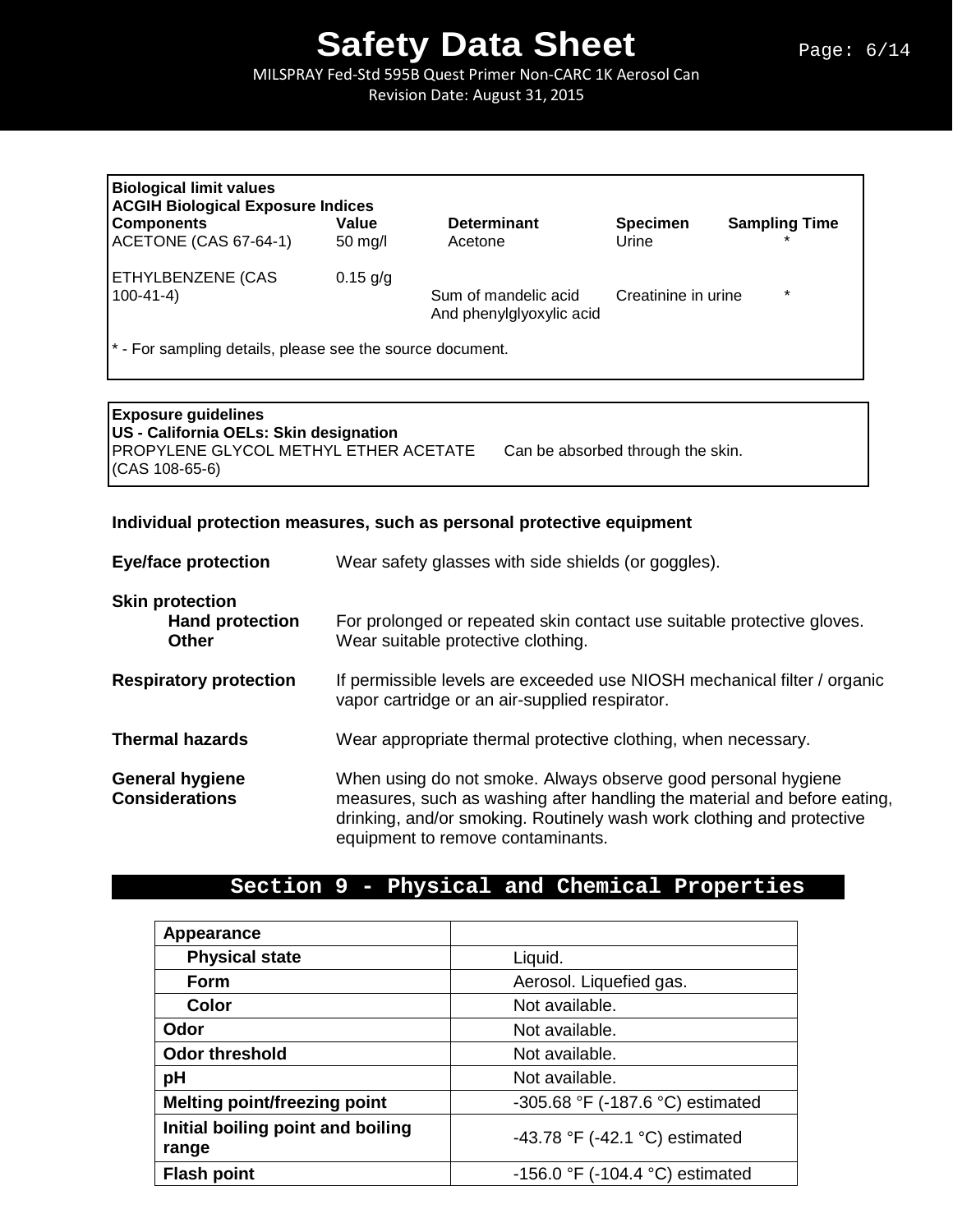MILSPRAY Fed-Std 595B Quest Primer Non-CARC 1K Aerosol Can

Revision Date: August 31, 2015

| <b>Biological limit values</b><br><b>ACGIH Biological Exposure Indices</b> |                   |                                                  |                     |                      |  |  |
|----------------------------------------------------------------------------|-------------------|--------------------------------------------------|---------------------|----------------------|--|--|
| <b>Components</b>                                                          | Value             | <b>Determinant</b>                               | <b>Specimen</b>     | <b>Sampling Time</b> |  |  |
| ACETONE (CAS 67-64-1)                                                      | $50 \text{ mg/l}$ | Acetone                                          | Urine               |                      |  |  |
| <b>ETHYLBENZENE (CAS</b>                                                   | $0.15$ g/g        |                                                  |                     |                      |  |  |
| $100 - 41 - 4$                                                             |                   | Sum of mandelic acid<br>And phenylglyoxylic acid | Creatinine in urine | $\star$              |  |  |
| <sup>*</sup> - For sampling details, please see the source document.       |                   |                                                  |                     |                      |  |  |

\* - For sampling details, please see the source document.

**Exposure guidelines US - California OELs: Skin designation** PROPYLENE GLYCOL METHYL ETHER ACETATE Can be absorbed through the skin. (CAS 108-65-6)

### **Individual protection measures, such as personal protective equipment**

| <b>Eye/face protection</b>                                       | Wear safety glasses with side shields (or goggles).                                                                                                                                                                                                     |  |
|------------------------------------------------------------------|---------------------------------------------------------------------------------------------------------------------------------------------------------------------------------------------------------------------------------------------------------|--|
| <b>Skin protection</b><br><b>Hand protection</b><br><b>Other</b> | For prolonged or repeated skin contact use suitable protective gloves.<br>Wear suitable protective clothing.                                                                                                                                            |  |
| <b>Respiratory protection</b>                                    | If permissible levels are exceeded use NIOSH mechanical filter / organic<br>vapor cartridge or an air-supplied respirator.                                                                                                                              |  |
| <b>Thermal hazards</b>                                           | Wear appropriate thermal protective clothing, when necessary.                                                                                                                                                                                           |  |
| <b>General hygiene</b><br><b>Considerations</b>                  | When using do not smoke. Always observe good personal hygiene<br>measures, such as washing after handling the material and before eating,<br>drinking, and/or smoking. Routinely wash work clothing and protective<br>equipment to remove contaminants. |  |

# **Section 9 - Physical and Chemical Properties**

| Appearance                                 |                                  |
|--------------------------------------------|----------------------------------|
| <b>Physical state</b>                      | Liquid.                          |
| <b>Form</b>                                | Aerosol. Liquefied gas.          |
| Color                                      | Not available.                   |
| Odor                                       | Not available.                   |
| <b>Odor threshold</b>                      | Not available.                   |
| pH                                         | Not available.                   |
| <b>Melting point/freezing point</b>        | -305.68 °F (-187.6 °C) estimated |
| Initial boiling point and boiling<br>range | -43.78 °F (-42.1 °C) estimated   |
| <b>Flash point</b>                         | -156.0 °F (-104.4 °C) estimated  |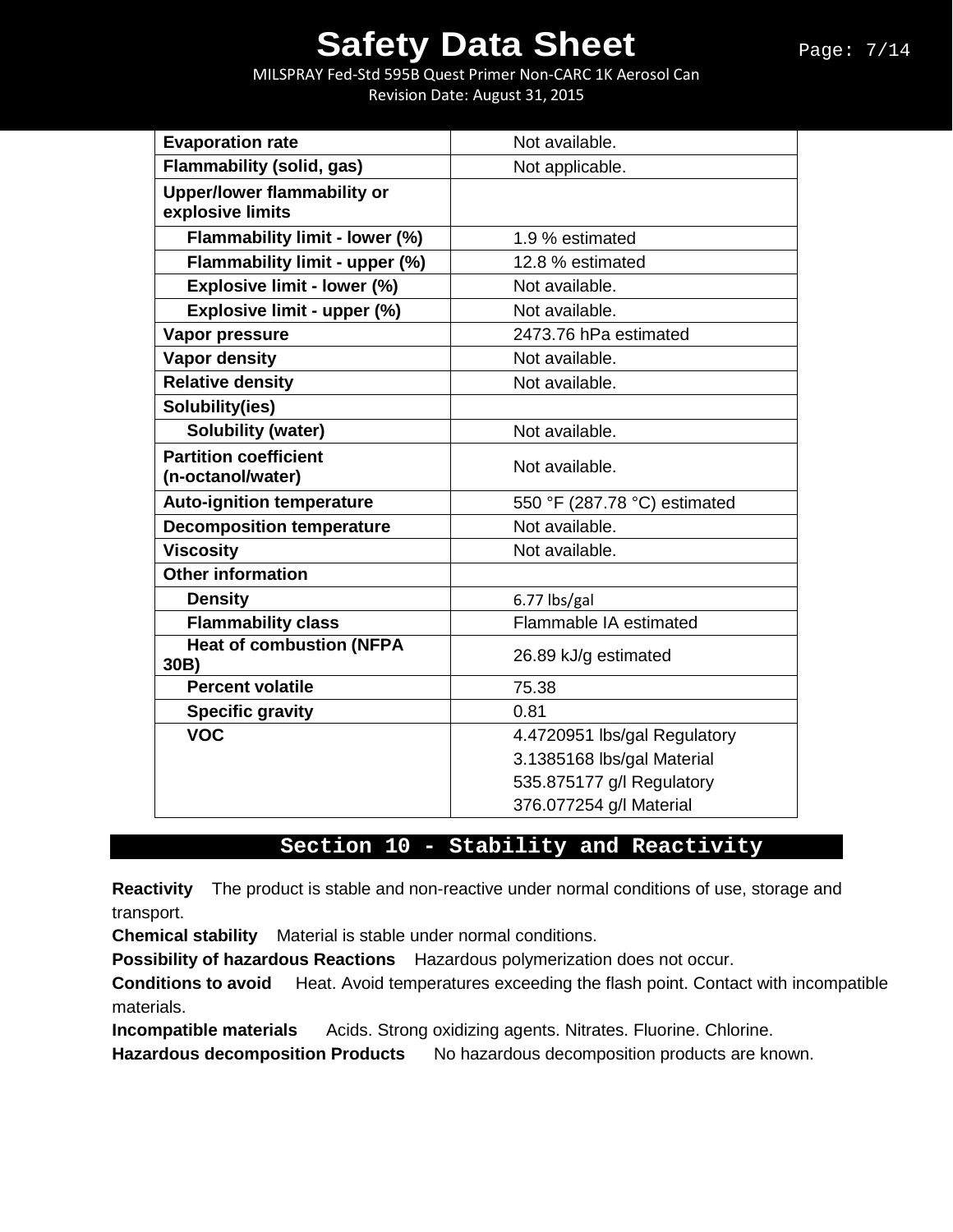MILSPRAY Fed-Std 595B Quest Primer Non-CARC 1K Aerosol Can Revision Date: August 31, 2015

| <b>Evaporation rate</b>                                | Not available.               |
|--------------------------------------------------------|------------------------------|
| <b>Flammability (solid, gas)</b>                       | Not applicable.              |
| <b>Upper/lower flammability or</b><br>explosive limits |                              |
| Flammability limit - lower (%)                         | 1.9 % estimated              |
| Flammability limit - upper (%)                         | 12.8 % estimated             |
| Explosive limit - lower (%)                            | Not available.               |
| Explosive limit - upper (%)                            | Not available.               |
| Vapor pressure                                         | 2473.76 hPa estimated        |
| <b>Vapor density</b>                                   | Not available.               |
| <b>Relative density</b>                                | Not available.               |
| Solubility(ies)                                        |                              |
| <b>Solubility (water)</b>                              | Not available.               |
| <b>Partition coefficient</b><br>(n-octanol/water)      | Not available.               |
| <b>Auto-ignition temperature</b>                       | 550 °F (287.78 °C) estimated |
| <b>Decomposition temperature</b>                       | Not available.               |
| <b>Viscosity</b>                                       | Not available.               |
| <b>Other information</b>                               |                              |
| <b>Density</b>                                         | 6.77 lbs/gal                 |
| <b>Flammability class</b>                              | Flammable IA estimated       |
| <b>Heat of combustion (NFPA</b><br>30B)                | 26.89 kJ/g estimated         |
| <b>Percent volatile</b>                                | 75.38                        |
| <b>Specific gravity</b>                                | 0.81                         |
| <b>VOC</b>                                             | 4.4720951 lbs/gal Regulatory |
|                                                        | 3.1385168 lbs/gal Material   |
|                                                        | 535.875177 g/l Regulatory    |
|                                                        | 376.077254 g/l Material      |

## **Section 10 - Stability and Reactivity**

**Reactivity** The product is stable and non-reactive under normal conditions of use, storage and transport.

**Chemical stability** Material is stable under normal conditions.

**Possibility of hazardous Reactions** Hazardous polymerization does not occur.

**Conditions to avoid** Heat. Avoid temperatures exceeding the flash point. Contact with incompatible materials.

**Incompatible materials** Acids. Strong oxidizing agents. Nitrates. Fluorine. Chlorine.

**Hazardous decomposition Products** No hazardous decomposition products are known.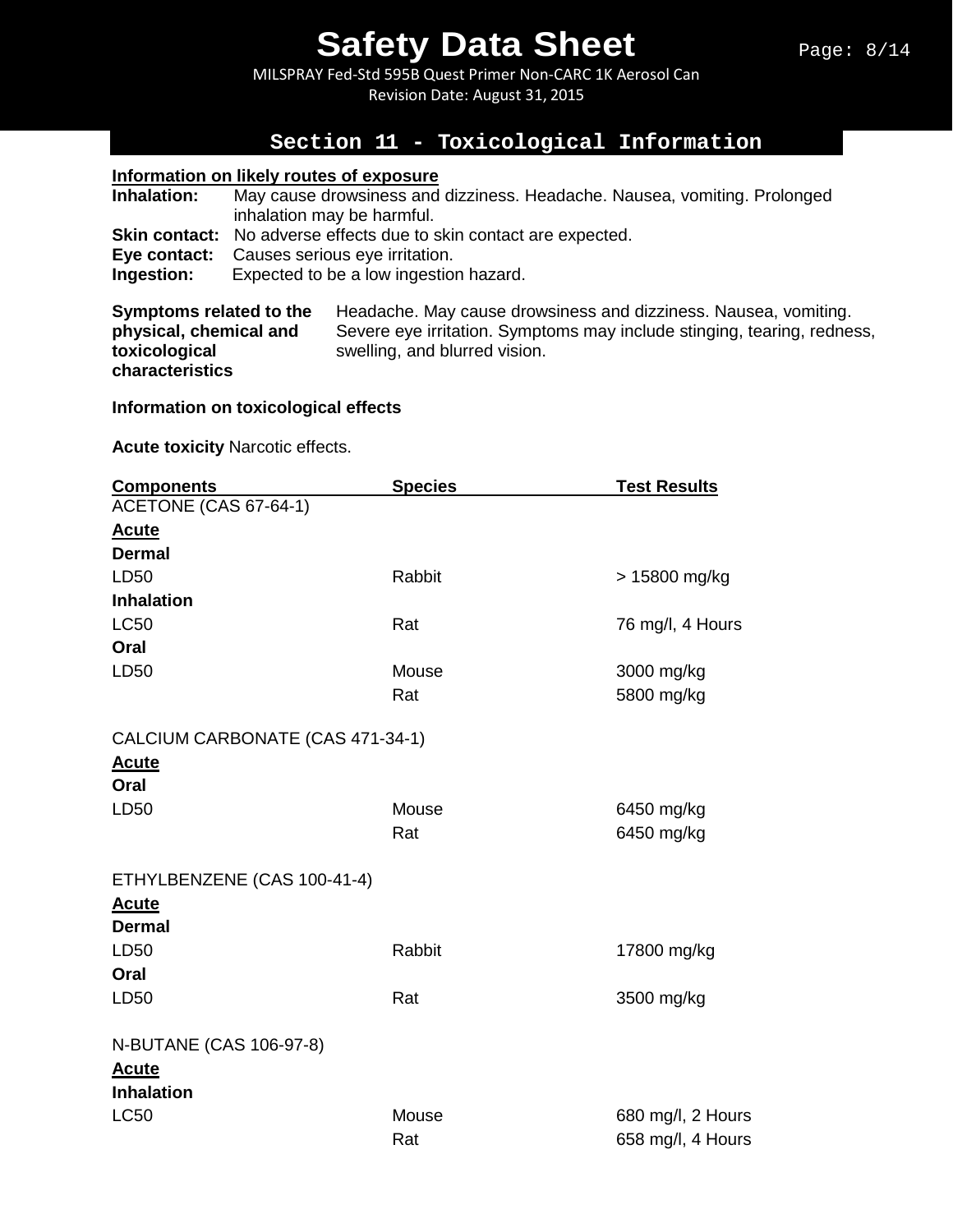MILSPRAY Fed-Std 595B Quest Primer Non-CARC 1K Aerosol Can Revision Date: August 31, 2015

## **Section 11 - Toxicological Information**

#### **Information on likely routes of exposure**

| Inhalation: | May cause drowsiness and dizziness. Headache. Nausea, vomiting. Prolonged<br>inhalation may be harmful.                                                                   |
|-------------|---------------------------------------------------------------------------------------------------------------------------------------------------------------------------|
| Ingestion:  | <b>Skin contact:</b> No adverse effects due to skin contact are expected.<br><b>Eye contact:</b> Causes serious eye irritation.<br>Expected to be a low ingestion hazard. |

**Symptoms related to the** Headache. May cause drowsiness and dizziness. Nausea, vomiting.<br> **physical, chemical and** Severe eye irritation. Symptoms may include stinging, tearing, rednes **physical, chemical and** Severe eye irritation. Symptoms may include stinging, tearing, redness, swelling, and blurred vision. **characteristics** 

#### **Information on toxicological effects**

**Acute toxicity** Narcotic effects.

| <b>Components</b>                | <b>Species</b> | <b>Test Results</b> |
|----------------------------------|----------------|---------------------|
| ACETONE (CAS 67-64-1)            |                |                     |
| <u>Acute</u>                     |                |                     |
| <b>Dermal</b>                    |                |                     |
| LD50                             | Rabbit         | > 15800 mg/kg       |
| <b>Inhalation</b>                |                |                     |
| <b>LC50</b>                      | Rat            | 76 mg/l, 4 Hours    |
| Oral                             |                |                     |
| LD50                             | Mouse          | 3000 mg/kg          |
|                                  | Rat            | 5800 mg/kg          |
| CALCIUM CARBONATE (CAS 471-34-1) |                |                     |
| <b>Acute</b>                     |                |                     |
| Oral                             |                |                     |
| LD50                             | Mouse          | 6450 mg/kg          |
|                                  | Rat            | 6450 mg/kg          |
| ETHYLBENZENE (CAS 100-41-4)      |                |                     |
| <b>Acute</b>                     |                |                     |
| <b>Dermal</b>                    |                |                     |
| LD50                             | Rabbit         | 17800 mg/kg         |
| Oral                             |                |                     |
| LD50                             | Rat            | 3500 mg/kg          |
| N-BUTANE (CAS 106-97-8)          |                |                     |
| <b>Acute</b>                     |                |                     |
| <b>Inhalation</b>                |                |                     |
| <b>LC50</b>                      | Mouse          | 680 mg/l, 2 Hours   |
|                                  | Rat            | 658 mg/l, 4 Hours   |
|                                  |                |                     |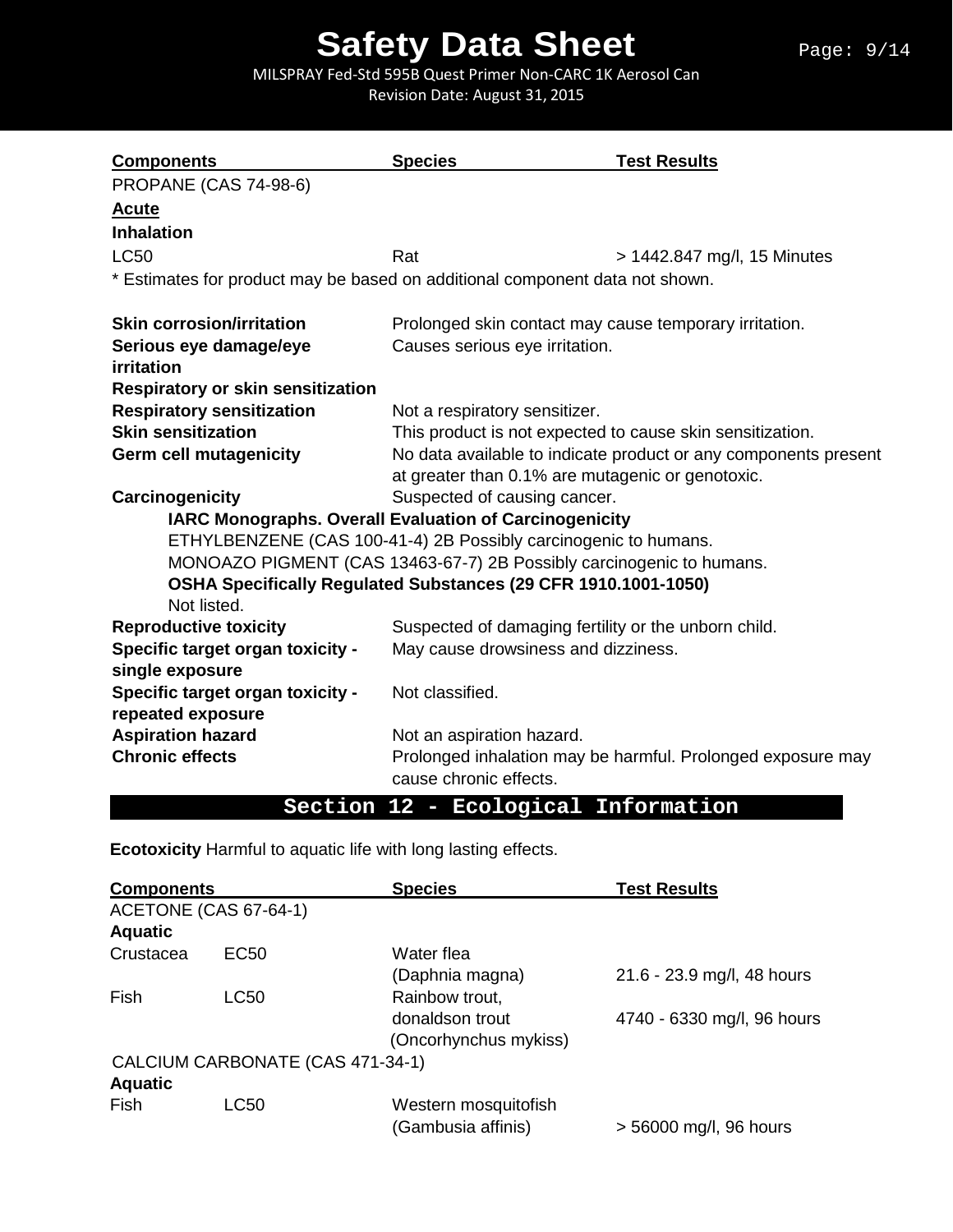#### Page: 9/14

# **Safety Data Sheet**

MILSPRAY Fed-Std 595B Quest Primer Non-CARC 1K Aerosol Can Revision Date: August 31, 2015

| <b>Components</b>                                                            | <b>Species</b>                                                       | <b>Test Results</b>         |  |
|------------------------------------------------------------------------------|----------------------------------------------------------------------|-----------------------------|--|
| <b>PROPANE (CAS 74-98-6)</b>                                                 |                                                                      |                             |  |
| <u>Acute</u>                                                                 |                                                                      |                             |  |
| <b>Inhalation</b>                                                            |                                                                      |                             |  |
| <b>LC50</b>                                                                  | Rat                                                                  | > 1442.847 mg/l, 15 Minutes |  |
| * Estimates for product may be based on additional component data not shown. |                                                                      |                             |  |
| <b>Skin corrosion/irritation</b>                                             | Prolonged skin contact may cause temporary irritation.               |                             |  |
| Serious eye damage/eye                                                       | Causes serious eye irritation.                                       |                             |  |
| <b>irritation</b>                                                            |                                                                      |                             |  |
| <b>Respiratory or skin sensitization</b>                                     |                                                                      |                             |  |
| <b>Respiratory sensitization</b>                                             | Not a respiratory sensitizer.                                        |                             |  |
| <b>Skin sensitization</b>                                                    | This product is not expected to cause skin sensitization.            |                             |  |
| <b>Germ cell mutagenicity</b>                                                | No data available to indicate product or any components present      |                             |  |
|                                                                              | at greater than 0.1% are mutagenic or genotoxic.                     |                             |  |
| Carcinogenicity                                                              | Suspected of causing cancer.                                         |                             |  |
|                                                                              | <b>IARC Monographs. Overall Evaluation of Carcinogenicity</b>        |                             |  |
|                                                                              | ETHYLBENZENE (CAS 100-41-4) 2B Possibly carcinogenic to humans.      |                             |  |
|                                                                              | MONOAZO PIGMENT (CAS 13463-67-7) 2B Possibly carcinogenic to humans. |                             |  |
|                                                                              | OSHA Specifically Regulated Substances (29 CFR 1910.1001-1050)       |                             |  |
| Not listed.                                                                  |                                                                      |                             |  |
| <b>Reproductive toxicity</b>                                                 | Suspected of damaging fertility or the unborn child.                 |                             |  |
| Specific target organ toxicity -                                             | May cause drowsiness and dizziness.                                  |                             |  |
| single exposure                                                              |                                                                      |                             |  |
| Specific target organ toxicity -                                             | Not classified.                                                      |                             |  |
| repeated exposure                                                            |                                                                      |                             |  |
| <b>Aspiration hazard</b>                                                     | Not an aspiration hazard.                                            |                             |  |
| <b>Chronic effects</b>                                                       | Prolonged inhalation may be harmful. Prolonged exposure may          |                             |  |
|                                                                              | cause chronic effects.                                               |                             |  |
|                                                                              | Section 12 - Ecological Information                                  |                             |  |

**Ecotoxicity** Harmful to aquatic life with long lasting effects.

| <b>Components</b> |                                  | <b>Species</b>        | <b>Test Results</b>        |
|-------------------|----------------------------------|-----------------------|----------------------------|
|                   | ACETONE (CAS 67-64-1)            |                       |                            |
| <b>Aquatic</b>    |                                  |                       |                            |
| Crustacea         | EC <sub>50</sub>                 | Water flea            |                            |
|                   |                                  | (Daphnia magna)       | 21.6 - 23.9 mg/l, 48 hours |
| Fish              | LC50                             | Rainbow trout,        |                            |
|                   |                                  | donaldson trout       | 4740 - 6330 mg/l, 96 hours |
|                   |                                  | (Oncorhynchus mykiss) |                            |
|                   | CALCIUM CARBONATE (CAS 471-34-1) |                       |                            |
| <b>Aquatic</b>    |                                  |                       |                            |
| <b>Fish</b>       | <b>LC50</b>                      | Western mosquitofish  |                            |
|                   |                                  | (Gambusia affinis)    | > 56000 mg/l, 96 hours     |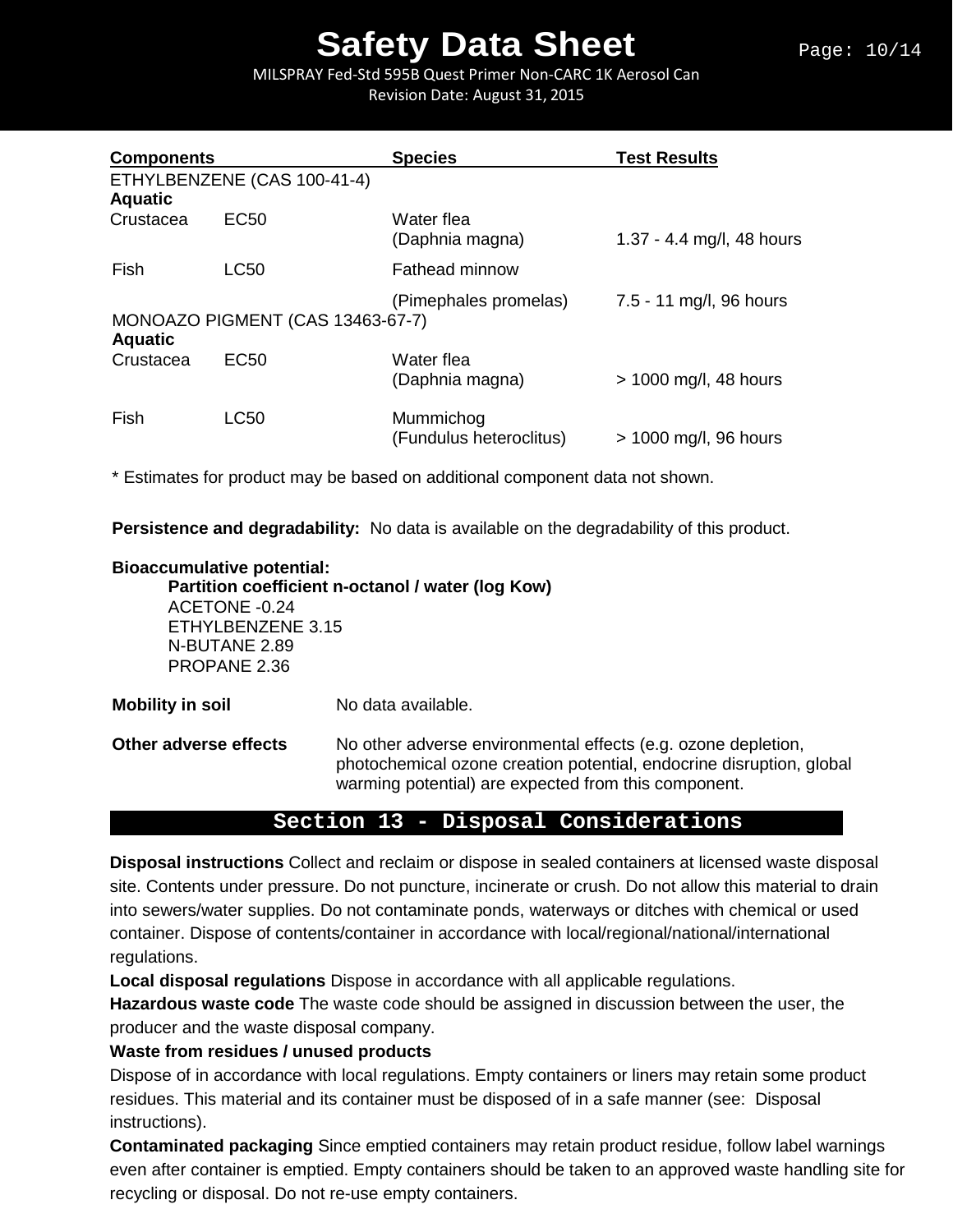#### Page: 10/14

# **Safety Data Sheet**

MILSPRAY Fed-Std 595B Quest Primer Non-CARC 1K Aerosol Can Revision Date: August 31, 2015

| <b>Components</b> |                                  | <b>Species</b>                       | <b>Test Results</b>       |
|-------------------|----------------------------------|--------------------------------------|---------------------------|
| <b>Aquatic</b>    | ETHYLBENZENE (CAS 100-41-4)      |                                      |                           |
| Crustacea         | EC <sub>50</sub>                 | Water flea<br>(Daphnia magna)        | 1.37 - 4.4 mg/l, 48 hours |
| Fish              | <b>LC50</b>                      | <b>Fathead minnow</b>                |                           |
| <b>Aquatic</b>    | MONOAZO PIGMENT (CAS 13463-67-7) | (Pimephales promelas)                | 7.5 - 11 mg/l, 96 hours   |
| Crustacea         | EC <sub>50</sub>                 | Water flea<br>(Daphnia magna)        | $> 1000$ mg/l, 48 hours   |
| Fish              | <b>LC50</b>                      | Mummichog<br>(Fundulus heteroclitus) | > 1000 mg/l, 96 hours     |

\* Estimates for product may be based on additional component data not shown.

**Persistence and degradability:** No data is available on the degradability of this product.

#### **Bioaccumulative potential:**

**Partition coefficient n-octanol / water (log Kow)**

ACETONE -0.24 ETHYLBENZENE 3.15 N-BUTANE 2.89 PROPANE 2.36

**Mobility in soil** No data available.

**Other adverse effects** No other adverse environmental effects (e.g. ozone depletion, photochemical ozone creation potential, endocrine disruption, global warming potential) are expected from this component.

### **Section 13 - Disposal Considerations**

**Disposal instructions** Collect and reclaim or dispose in sealed containers at licensed waste disposal site. Contents under pressure. Do not puncture, incinerate or crush. Do not allow this material to drain into sewers/water supplies. Do not contaminate ponds, waterways or ditches with chemical or used container. Dispose of contents/container in accordance with local/regional/national/international regulations.

**Local disposal regulations** Dispose in accordance with all applicable regulations.

**Hazardous waste code** The waste code should be assigned in discussion between the user, the producer and the waste disposal company.

### **Waste from residues / unused products**

Dispose of in accordance with local regulations. Empty containers or liners may retain some product residues. This material and its container must be disposed of in a safe manner (see: Disposal instructions).

**Contaminated packaging** Since emptied containers may retain product residue, follow label warnings even after container is emptied. Empty containers should be taken to an approved waste handling site for recycling or disposal. Do not re-use empty containers.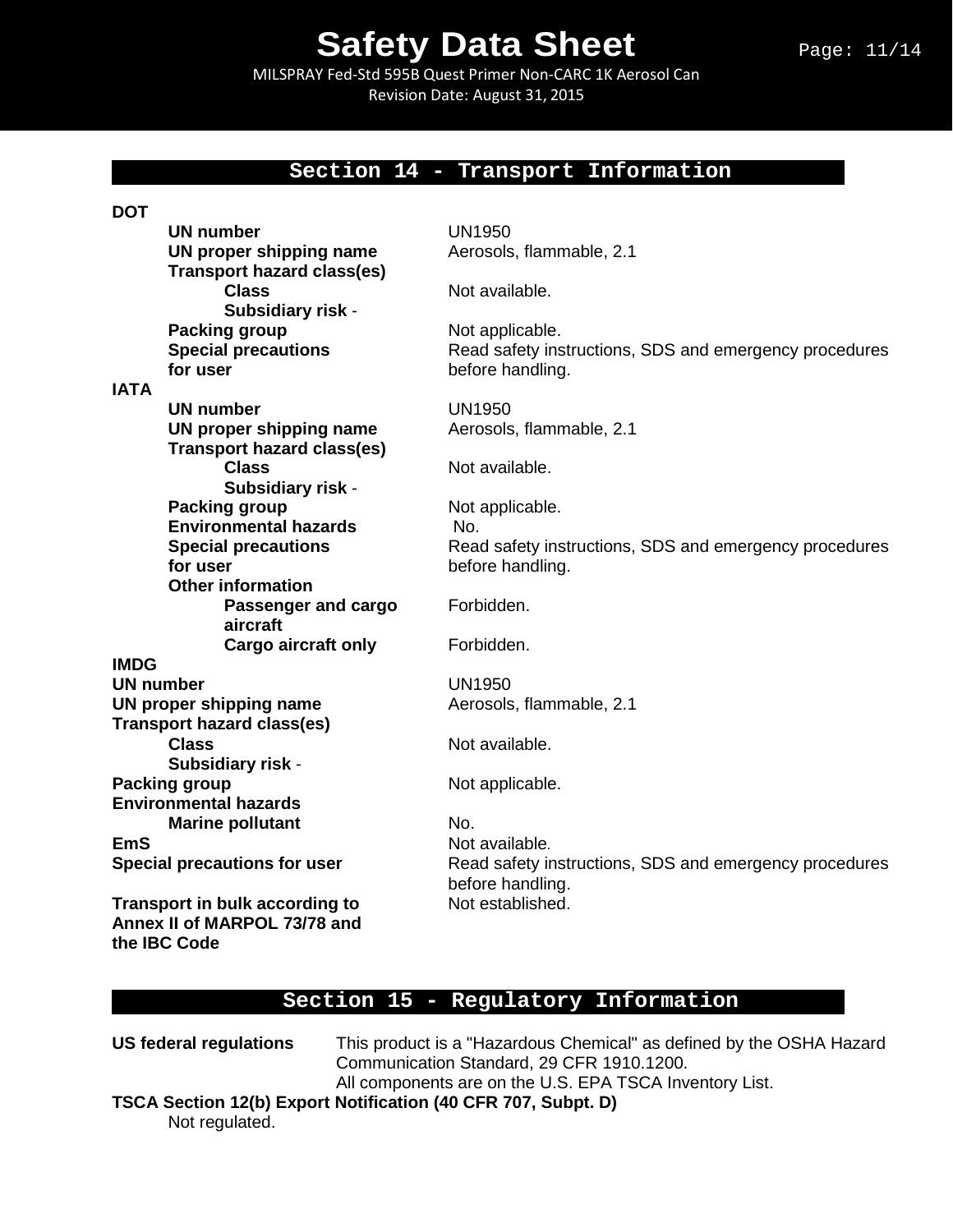MILSPRAY Fed-Std 595B Quest Primer Non-CARC 1K Aerosol Can Revision Date: August 31, 2015

### **Section 14 - Transport Information**

| <b>DOT</b>       |                                     |                                                        |
|------------------|-------------------------------------|--------------------------------------------------------|
|                  | <b>UN number</b>                    | <b>UN1950</b>                                          |
|                  | UN proper shipping name             | Aerosols, flammable, 2.1                               |
|                  | <b>Transport hazard class(es)</b>   |                                                        |
|                  | <b>Class</b>                        | Not available.                                         |
|                  | Subsidiary risk -                   |                                                        |
|                  | <b>Packing group</b>                | Not applicable.                                        |
|                  | <b>Special precautions</b>          | Read safety instructions, SDS and emergency procedures |
|                  | for user                            | before handling.                                       |
| <b>IATA</b>      |                                     |                                                        |
|                  | UN number                           | <b>UN1950</b>                                          |
|                  | UN proper shipping name             | Aerosols, flammable, 2.1                               |
|                  | <b>Transport hazard class(es)</b>   |                                                        |
|                  | <b>Class</b>                        | Not available.                                         |
|                  | Subsidiary risk -                   |                                                        |
|                  | <b>Packing group</b>                | Not applicable.                                        |
|                  | <b>Environmental hazards</b>        | No.                                                    |
|                  | <b>Special precautions</b>          | Read safety instructions, SDS and emergency procedures |
|                  | for user                            | before handling.                                       |
|                  | <b>Other information</b>            |                                                        |
|                  | Passenger and cargo                 | Forbidden.                                             |
|                  | aircraft                            |                                                        |
|                  | <b>Cargo aircraft only</b>          | Forbidden.                                             |
| <b>IMDG</b>      |                                     |                                                        |
| <b>UN number</b> |                                     | <b>UN1950</b>                                          |
|                  | UN proper shipping name             | Aerosols, flammable, 2.1                               |
|                  | <b>Transport hazard class(es)</b>   |                                                        |
|                  | <b>Class</b>                        | Not available.                                         |
|                  | Subsidiary risk -                   |                                                        |
|                  | <b>Packing group</b>                | Not applicable.                                        |
|                  | <b>Environmental hazards</b>        |                                                        |
|                  | <b>Marine pollutant</b>             | No.                                                    |
| EmS              |                                     | Not available.                                         |
|                  | <b>Special precautions for user</b> | Read safety instructions, SDS and emergency procedures |
|                  |                                     | before handling.                                       |
|                  | Transport in bulk according to      | Not established.                                       |
|                  | Annex II of MARPOL 73/78 and        |                                                        |
|                  | the IBC Code                        |                                                        |

### **Section 15 - Regulatory Information**

**US federal regulations** This product is a "Hazardous Chemical" as defined by the OSHA Hazard Communication Standard, 29 CFR 1910.1200. All components are on the U.S. EPA TSCA Inventory List.

**TSCA Section 12(b) Export Notification (40 CFR 707, Subpt. D)** Not regulated.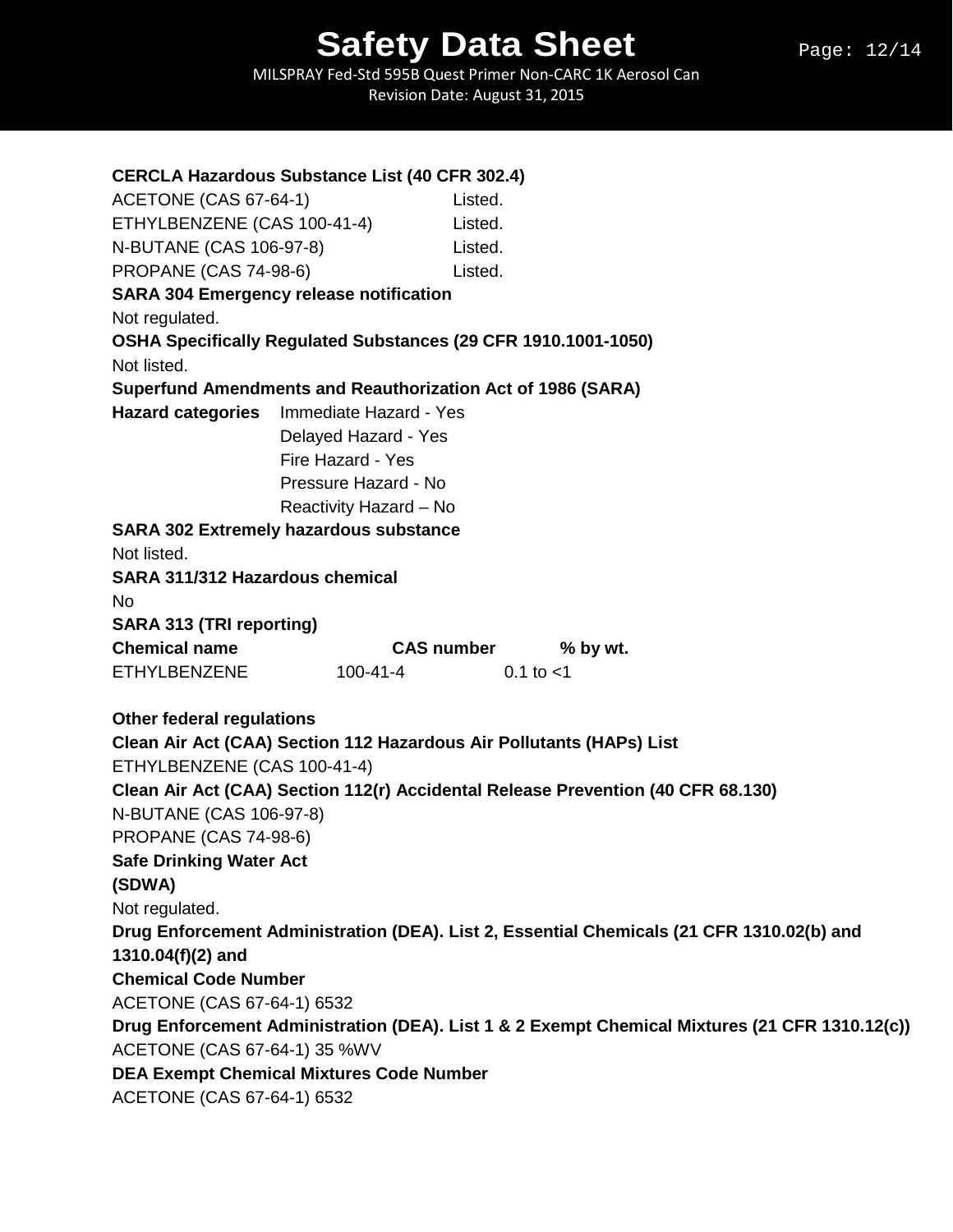| <b>CERCLA Hazardous Substance List (40 CFR 302.4)</b>                           |                        |                                                                                                |
|---------------------------------------------------------------------------------|------------------------|------------------------------------------------------------------------------------------------|
| ACETONE (CAS 67-64-1)<br>ETHYLBENZENE (CAS 100-41-4)<br>N-BUTANE (CAS 106-97-8) |                        | Listed.                                                                                        |
|                                                                                 |                        | Listed.                                                                                        |
|                                                                                 |                        | Listed.                                                                                        |
| PROPANE (CAS 74-98-6)                                                           |                        | Listed.                                                                                        |
| <b>SARA 304 Emergency release notification</b>                                  |                        |                                                                                                |
| Not regulated.                                                                  |                        |                                                                                                |
|                                                                                 |                        | OSHA Specifically Regulated Substances (29 CFR 1910.1001-1050)                                 |
| Not listed.                                                                     |                        |                                                                                                |
|                                                                                 |                        | Superfund Amendments and Reauthorization Act of 1986 (SARA)                                    |
| <b>Hazard categories</b>                                                        | Immediate Hazard - Yes |                                                                                                |
|                                                                                 | Delayed Hazard - Yes   |                                                                                                |
|                                                                                 | Fire Hazard - Yes      |                                                                                                |
|                                                                                 | Pressure Hazard - No   |                                                                                                |
|                                                                                 | Reactivity Hazard - No |                                                                                                |
| <b>SARA 302 Extremely hazardous substance</b>                                   |                        |                                                                                                |
| Not listed.                                                                     |                        |                                                                                                |
| SARA 311/312 Hazardous chemical                                                 |                        |                                                                                                |
| No                                                                              |                        |                                                                                                |
| <b>SARA 313 (TRI reporting)</b>                                                 |                        |                                                                                                |
| <b>Chemical name</b>                                                            |                        | <b>CAS number</b><br>% by wt.                                                                  |
| ETHYLBENZENE                                                                    |                        | $100 - 41 - 4$<br>$0.1$ to $< 1$                                                               |
| <b>Other federal regulations</b>                                                |                        |                                                                                                |
|                                                                                 |                        | Clean Air Act (CAA) Section 112 Hazardous Air Pollutants (HAPs) List                           |
| ETHYLBENZENE (CAS 100-41-4)                                                     |                        |                                                                                                |
|                                                                                 |                        | Clean Air Act (CAA) Section 112(r) Accidental Release Prevention (40 CFR 68.130)               |
| N-BUTANE (CAS 106-97-8)                                                         |                        |                                                                                                |
| <b>PROPANE (CAS 74-98-6)</b>                                                    |                        |                                                                                                |
| <b>Safe Drinking Water Act</b>                                                  |                        |                                                                                                |
| (SDWA)                                                                          |                        |                                                                                                |
| Not regulated.                                                                  |                        |                                                                                                |
|                                                                                 |                        | Drug Enforcement Administration (DEA). List 2, Essential Chemicals (21 CFR 1310.02(b) and      |
| 1310.04(f)(2) and                                                               |                        |                                                                                                |
| <b>Chemical Code Number</b>                                                     |                        |                                                                                                |
| ACETONE (CAS 67-64-1) 6532                                                      |                        |                                                                                                |
|                                                                                 |                        | Drug Enforcement Administration (DEA). List 1 & 2 Exempt Chemical Mixtures (21 CFR 1310.12(c)) |
| ACETONE (CAS 67-64-1) 35 %WV                                                    |                        |                                                                                                |
| <b>DEA Exempt Chemical Mixtures Code Number</b>                                 |                        |                                                                                                |
| ACETONE (CAS 67-64-1) 6532                                                      |                        |                                                                                                |
|                                                                                 |                        |                                                                                                |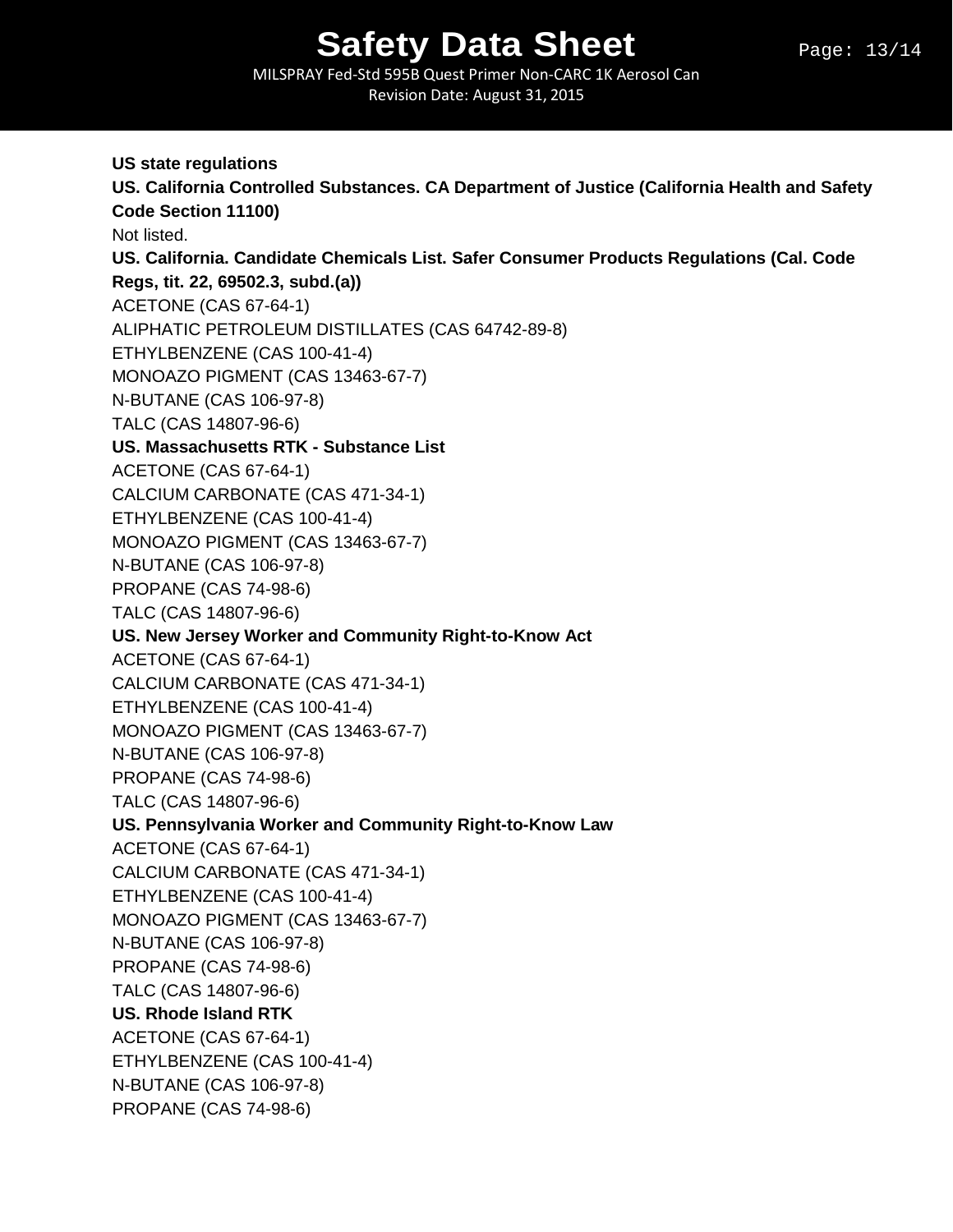MILSPRAY Fed-Std 595B Quest Primer Non-CARC 1K Aerosol Can Revision Date: August 31, 2015

**US state regulations US. California Controlled Substances. CA Department of Justice (California Health and Safety Code Section 11100)** Not listed. **US. California. Candidate Chemicals List. Safer Consumer Products Regulations (Cal. Code Regs, tit. 22, 69502.3, subd.(a))** ACETONE (CAS 67-64-1) ALIPHATIC PETROLEUM DISTILLATES (CAS 64742-89-8) ETHYLBENZENE (CAS 100-41-4) MONOAZO PIGMENT (CAS 13463-67-7) N-BUTANE (CAS 106-97-8) TALC (CAS 14807-96-6) **US. Massachusetts RTK - Substance List** ACETONE (CAS 67-64-1) CALCIUM CARBONATE (CAS 471-34-1) ETHYLBENZENE (CAS 100-41-4) MONOAZO PIGMENT (CAS 13463-67-7) N-BUTANE (CAS 106-97-8) PROPANE (CAS 74-98-6) TALC (CAS 14807-96-6) **US. New Jersey Worker and Community Right-to-Know Act** ACETONE (CAS 67-64-1) CALCIUM CARBONATE (CAS 471-34-1) ETHYLBENZENE (CAS 100-41-4) MONOAZO PIGMENT (CAS 13463-67-7) N-BUTANE (CAS 106-97-8) PROPANE (CAS 74-98-6) TALC (CAS 14807-96-6) **US. Pennsylvania Worker and Community Right-to-Know Law** ACETONE (CAS 67-64-1) CALCIUM CARBONATE (CAS 471-34-1) ETHYLBENZENE (CAS 100-41-4) MONOAZO PIGMENT (CAS 13463-67-7) N-BUTANE (CAS 106-97-8) PROPANE (CAS 74-98-6) TALC (CAS 14807-96-6) **US. Rhode Island RTK** ACETONE (CAS 67-64-1) ETHYLBENZENE (CAS 100-41-4) N-BUTANE (CAS 106-97-8) PROPANE (CAS 74-98-6)